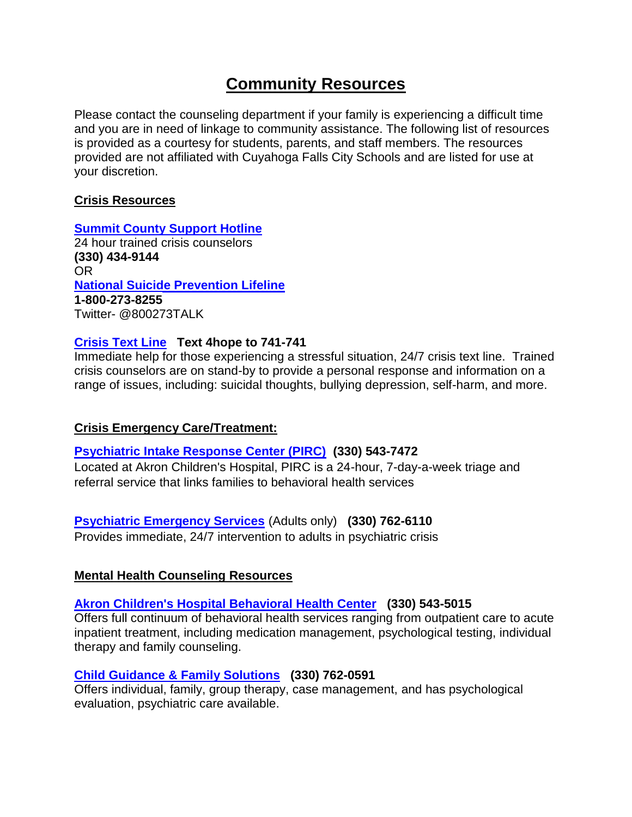# **Community Resources**

Please contact the counseling department if your family is experiencing a difficult time and you are in need of linkage to community assistance. The following list of resources is provided as a courtesy for students, parents, and staff members. The resources provided are not affiliated with Cuyahoga Falls City Schools and are listed for use at your discretion.

## **Crisis Resources**

#### **[Summit County Support Hotline](https://www.portagepath.org/support-hotline/)** 24 hour trained crisis counselors **(330) 434-9144**  OR

**[National Suicide Prevention Lifeline](https://suicidepreventionlifeline.org/) 1-800-273-8255** Twitter- @800273TALK

# **[Crisis Text Line](https://www.crisistextline.org/) Text 4hope to 741-741**

Immediate help for those experiencing a stressful situation, 24/7 crisis text line. Trained crisis counselors are on stand-by to provide a personal response and information on a range of issues, including: suicidal thoughts, bullying depression, self-harm, and more.

# **Crisis Emergency Care/Treatment:**

# **[Psychiatric Intake Response Center \(PIRC\)](https://www.akronchildrens.org/pages/Psychiatric-Intake-Response-Center.html) (330) 543-7472**

Located at Akron Children's Hospital, PIRC is a 24-hour, 7-day-a-week triage and referral service that links families to behavioral health services

# **[Psychiatric Emergency Services](https://www.portagepath.org/psychiatric-emergency-services/)** (Adults only) **(330) 762-6110**

Provides immediate, 24/7 intervention to adults in psychiatric crisis

# **Mental Health Counseling Resources**

# **[Akron Children's Hospital Behavioral Health Center](https://www.akronchildrens.org/departments/Behavioral-Health.html) (330) 543-5015**

Offers full continuum of behavioral health services ranging from outpatient care to acute inpatient treatment, including medication management, psychological testing, individual therapy and family counseling.

# **[Child Guidance & Family Solutions](https://www.cgfs.org/) (330) 762-0591**

Offers individual, family, group therapy, case management, and has psychological evaluation, psychiatric care available.